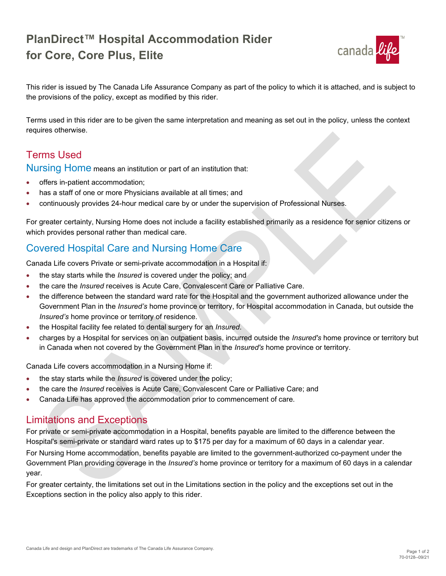## **PlanDirect™ Hospital Accommodation Rider for Core, Core Plus, Elite**



This rider is issued by The Canada Life Assurance Company as part of the policy to which it is attached, and is subject to the provisions of the policy, except as modified by this rider.

Terms used in this rider are to be given the same interpretation and meaning as set out in the policy, unless the context requires otherwise.

## Terms Used

Nursing Home means an institution or part of an institution that:

- offers in-patient accommodation;
- has a staff of one or more Physicians available at all times; and
- continuously provides 24-hour medical care by or under the supervision of Professional Nurses.

For greater certainty, Nursing Home does not include a facility established primarily as a residence for senior citizens or which provides personal rather than medical care.

### Covered Hospital Care and Nursing Home Care

Canada Life covers Private or semi-private accommodation in a Hospital if:

- the stay starts while the *Insured* is covered under the policy; and
- the care the *Insured* receives is Acute Care, Convalescent Care or Palliative Care.
- the difference between the standard ward rate for the Hospital and the government authorized allowance under the Government Plan in the *Insured's* home province or territory, for Hospital accommodation in Canada, but outside the *Insured's* home province or territory of residence.
- the Hospital facility fee related to dental surgery for an *Insured*.
- charges by a Hospital for services on an outpatient basis, incurred outside the *Insured's* home province or territory but in Canada when not covered by the Government Plan in the *Insured's* home province or territory.

Canada Life covers accommodation in a Nursing Home if:

- the stay starts while the *Insured* is covered under the policy;
- the care the *Insured* receives is Acute Care, Convalescent Care or Palliative Care; and
- Canada Life has approved the accommodation prior to commencement of care.

#### Limitations and Exceptions

For private or semi-private accommodation in a Hospital, benefits payable are limited to the difference between the Hospital's semi-private or standard ward rates up to \$175 per day for a maximum of 60 days in a calendar year. For Nursing Home accommodation, benefits payable are limited to the government-authorized co-payment under the Government Plan providing coverage in the *Insured's* home province or territory for a maximum of 60 days in a calendar year.

For greater certainty, the limitations set out in the Limitations section in the policy and the exceptions set out in the Exceptions section in the policy also apply to this rider.